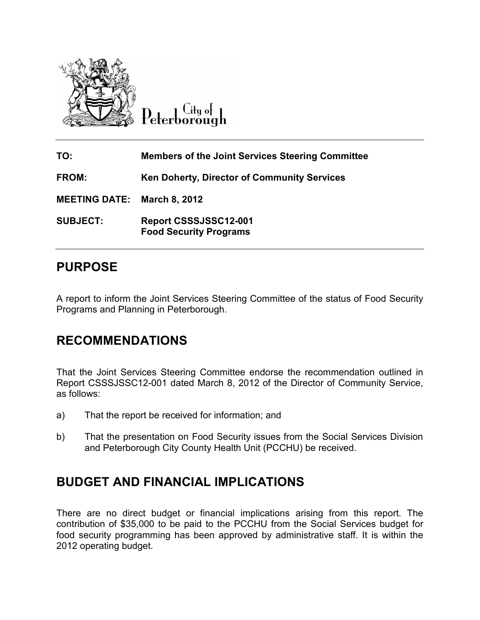

Lity of Peterborough

| TO:                                | <b>Members of the Joint Services Steering Committee</b> |
|------------------------------------|---------------------------------------------------------|
| <b>FROM:</b>                       | <b>Ken Doherty, Director of Community Services</b>      |
| <b>MEETING DATE: March 8, 2012</b> |                                                         |
| <b>SUBJECT:</b>                    | Report CSSSJSSC12-001<br><b>Food Security Programs</b>  |

# **PURPOSE**

A report to inform the Joint Services Steering Committee of the status of Food Security Programs and Planning in Peterborough. A report to inform the Joint Services Steering Committee of the status of Food Security<br>Programs and Planning in Peterborough.<br>**RECOMMENDATIONS**<br>That the Joint Services Steering Committee endorse the recommendation outline

## **RECOMMENDATIONS S**

Report CSSSJSSC12-001 dated March 8, 2012 of the Director of Community Service, as follows:

- a) That the report be received for information; and
- b) That the presentation on Food Security issues from the Social Services Division That the report be received for information; and<br>That the presentation on Food Security issues from the Social Se<br>and Peterborough City County Health Unit (PCCHU) be received.

## **BUDGET AND FINANCIAL IMPLICATIONS D**

and Peterborough City County Health Unit (PCCHU) be received.<br> **BUDGET AND FINANCIAL IMPLICATIONS**<br>
There are no direct budget or financial implications arising from this report. The contribution of \$35,000 to be paid to the PCCHU from the Social Services budget budget for contribution of \$35,000 to be paid to the PCCHU from the Social Services budget for<br>food security programming has been approved by administrative staff. It is within the 2012 operating budget.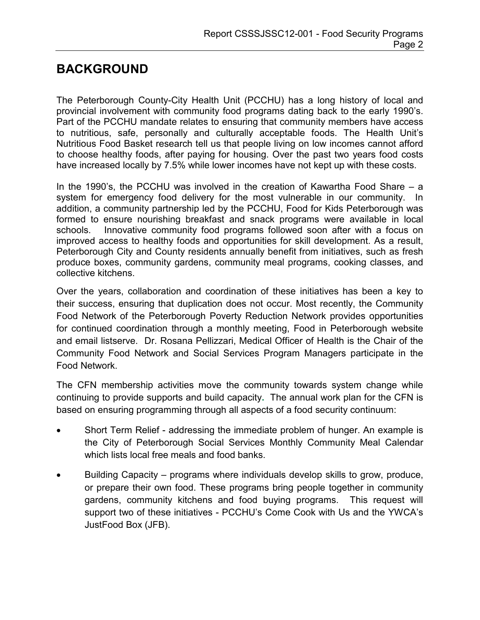# **BACKGROUND**

The Peterborough County-City Health Unit (PCCHU) has a long history of local and provincial involvement with community food programs dating back to the early 1990's. Part of the PCCHU mandate relates to ensuring that community members have access to nutritious, safe, personally and culturally acceptable foods. The Health Unit's Nutritious Food Basket research tell us that people living on low incomes cannot afford to choose healthy foods, after paying for housing. Over the past two years food costs have increased locally by 7.5% while lower incomes have not kept up with these costs.

In the 1990's, the PCCHU was involved in the creation of Kawartha Food Share – a system for emergency food delivery for the most vulnerable in our community. In addition, a community partnership led by the PCCHU, Food for Kids Peterborough was formed to ensure nourishing breakfast and snack programs were available in local schools. Innovative community food programs followed soon after with a focus on improved access to healthy foods and opportunities for skill development. As a result, Peterborough City and County residents annually benefit from initiatives, such as fresh produce boxes, community gardens, community meal programs, cooking classes, and collective kitchens.

Over the years, collaboration and coordination of these initiatives has been a key to their success, ensuring that duplication does not occur. Most recently, the Community Food Network of the Peterborough Poverty Reduction Network provides opportunities for continued coordination through a monthly meeting, Food in Peterborough website and email listserve. Dr. Rosana Pellizzari, Medical Officer of Health is the Chair of the Community Food Network and Social Services Program Managers participate in the Food Network.

The CFN membership activities move the community towards system change while continuing to provide supports and build capacity**.** The annual work plan for the CFN is based on ensuring programming through all aspects of a food security continuum:

- Short Term Relief addressing the immediate problem of hunger. An example is the City of Peterborough Social Services Monthly Community Meal Calendar which lists local free meals and food banks.
- Building Capacity programs where individuals develop skills to grow, produce, or prepare their own food. These programs bring people together in community gardens, community kitchens and food buying programs. This request will support two of these initiatives - PCCHU's Come Cook with Us and the YWCA's JustFood Box (JFB).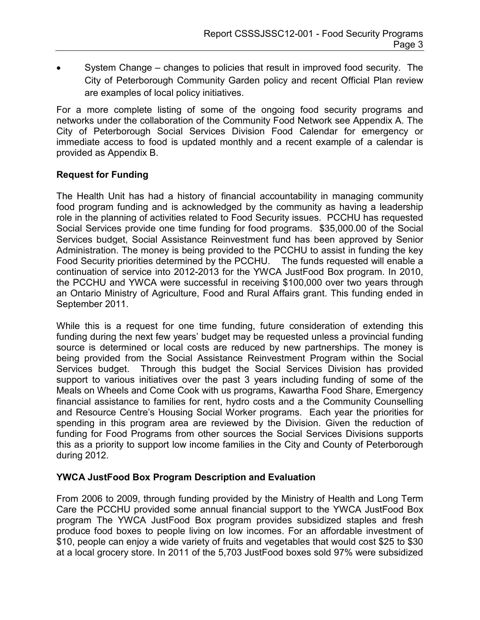• System Change – changes to policies that result in improved food security. The City of Peterborough Community Garden policy and recent Official Plan review are examples of local policy initiatives.

For a more complete listing of some of the ongoing food security programs and networks under the collaboration of the Community Food Network see Appendix A. The City of Peterborough Social Services Division Food Calendar for emergency or immediate access to food is updated monthly and a recent example of a calendar is provided as Appendix B.

#### **Request for Funding**

The Health Unit has had a history of financial accountability in managing community food program funding and is acknowledged by the community as having a leadership role in the planning of activities related to Food Security issues. PCCHU has requested Social Services provide one time funding for food programs. \$35,000.00 of the Social Services budget, Social Assistance Reinvestment fund has been approved by Senior Administration. The money is being provided to the PCCHU to assist in funding the key Food Security priorities determined by the PCCHU. The funds requested will enable a continuation of service into 2012-2013 for the YWCA JustFood Box program. In 2010, the PCCHU and YWCA were successful in receiving \$100,000 over two years through an Ontario Ministry of Agriculture, Food and Rural Affairs grant. This funding ended in September 2011.

While this is a request for one time funding, future consideration of extending this funding during the next few years' budget may be requested unless a provincial funding source is determined or local costs are reduced by new partnerships. The money is being provided from the Social Assistance Reinvestment Program within the Social Services budget. Through this budget the Social Services Division has provided support to various initiatives over the past 3 years including funding of some of the Meals on Wheels and Come Cook with us programs, Kawartha Food Share, Emergency financial assistance to families for rent, hydro costs and a the Community Counselling and Resource Centre's Housing Social Worker programs. Each year the priorities for spending in this program area are reviewed by the Division. Given the reduction of funding for Food Programs from other sources the Social Services Divisions supports this as a priority to support low income families in the City and County of Peterborough during 2012.

#### **YWCA JustFood Box Program Description and Evaluation**

From 2006 to 2009, through funding provided by the Ministry of Health and Long Term Care the PCCHU provided some annual financial support to the YWCA JustFood Box program The YWCA JustFood Box program provides subsidized staples and fresh produce food boxes to people living on low incomes. For an affordable investment of \$10, people can enjoy a wide variety of fruits and vegetables that would cost \$25 to \$30 at a local grocery store. In 2011 of the 5,703 JustFood boxes sold 97% were subsidized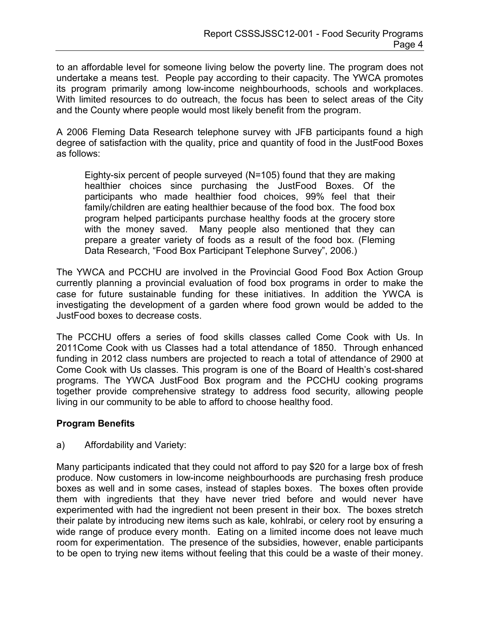to an affordable level for someone living below the poverty line. The program does not undertake a means test. People pay according to their capacity. The YWCA promotes its program primarily among low-income neighbourhoods, schools and workplaces. With limited resources to do outreach, the focus has been to select areas of the City and the County where people would most likely benefit from the program.

A 2006 Fleming Data Research telephone survey with JFB participants found a high degree of satisfaction with the quality, price and quantity of food in the JustFood Boxes as follows:

Eighty-six percent of people surveyed (N=105) found that they are making healthier choices since purchasing the JustFood Boxes. Of the participants who made healthier food choices, 99% feel that their family/children are eating healthier because of the food box. The food box program helped participants purchase healthy foods at the grocery store with the money saved. Many people also mentioned that they can prepare a greater variety of foods as a result of the food box. (Fleming Data Research, "Food Box Participant Telephone Survey", 2006.)

The YWCA and PCCHU are involved in the Provincial Good Food Box Action Group currently planning a provincial evaluation of food box programs in order to make the case for future sustainable funding for these initiatives. In addition the YWCA is investigating the development of a garden where food grown would be added to the JustFood boxes to decrease costs.

The PCCHU offers a series of food skills classes called Come Cook with Us. In 2011Come Cook with us Classes had a total attendance of 1850. Through enhanced funding in 2012 class numbers are projected to reach a total of attendance of 2900 at Come Cook with Us classes. This program is one of the Board of Health's cost-shared programs. The YWCA JustFood Box program and the PCCHU cooking programs together provide comprehensive strategy to address food security, allowing people living in our community to be able to afford to choose healthy food.

### **Program Benefits**

a) Affordability and Variety:

Many participants indicated that they could not afford to pay \$20 for a large box of fresh produce. Now customers in low-income neighbourhoods are purchasing fresh produce boxes as well and in some cases, instead of staples boxes. The boxes often provide them with ingredients that they have never tried before and would never have experimented with had the ingredient not been present in their box. The boxes stretch their palate by introducing new items such as kale, kohlrabi, or celery root by ensuring a wide range of produce every month. Eating on a limited income does not leave much room for experimentation. The presence of the subsidies, however, enable participants to be open to trying new items without feeling that this could be a waste of their money.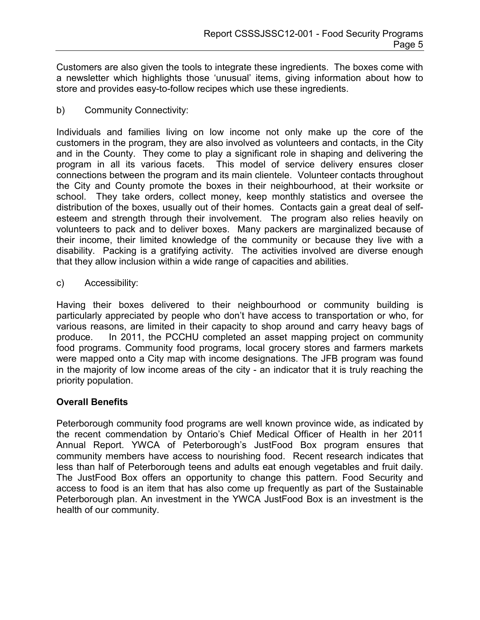Customers are also given the tools to integrate these ingredients. The boxes come with a newsletter which highlights those 'unusual' items, giving information about how to store and provides easy-to-follow recipes which use these ingredients.

b) Community Connectivity:

Individuals and families living on low income not only make up the core of the customers in the program, they are also involved as volunteers and contacts, in the City and in the County. They come to play a significant role in shaping and delivering the program in all its various facets. This model of service delivery ensures closer connections between the program and its main clientele. Volunteer contacts throughout the City and County promote the boxes in their neighbourhood, at their worksite or school. They take orders, collect money, keep monthly statistics and oversee the distribution of the boxes, usually out of their homes. Contacts gain a great deal of selfesteem and strength through their involvement. The program also relies heavily on volunteers to pack and to deliver boxes. Many packers are marginalized because of their income, their limited knowledge of the community or because they live with a disability. Packing is a gratifying activity. The activities involved are diverse enough that they allow inclusion within a wide range of capacities and abilities.

c) Accessibility:

Having their boxes delivered to their neighbourhood or community building is particularly appreciated by people who don't have access to transportation or who, for various reasons, are limited in their capacity to shop around and carry heavy bags of produce. In 2011, the PCCHU completed an asset mapping project on community food programs. Community food programs, local grocery stores and farmers markets were mapped onto a City map with income designations. The JFB program was found in the majority of low income areas of the city - an indicator that it is truly reaching the priority population.

### **Overall Benefits**

Peterborough community food programs are well known province wide, as indicated by the recent commendation by Ontario's Chief Medical Officer of Health in her 2011 Annual Report. YWCA of Peterborough's JustFood Box program ensures that community members have access to nourishing food. Recent research indicates that less than half of Peterborough teens and adults eat enough vegetables and fruit daily. The JustFood Box offers an opportunity to change this pattern. Food Security and access to food is an item that has also come up frequently as part of the Sustainable Peterborough plan. An investment in the YWCA JustFood Box is an investment is the health of our community.